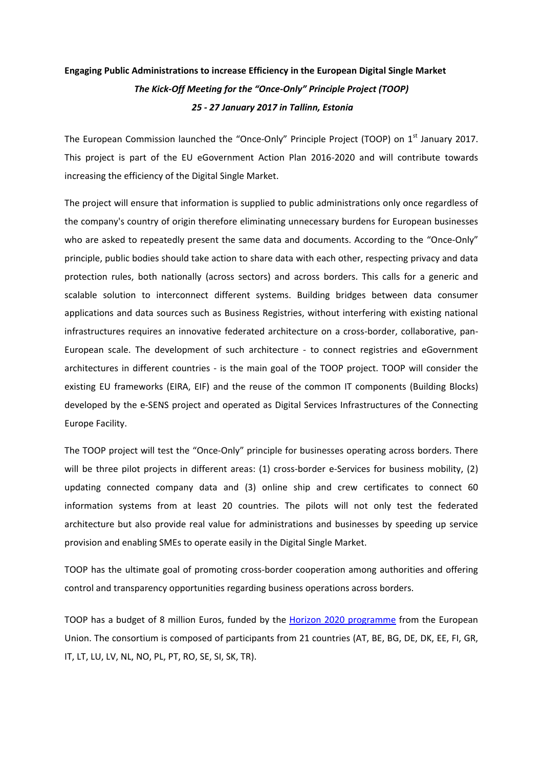## **Engaging Public Administrations to increase Efficiency in the European Digital Single Market** *The Kick-Off Meeting for the "Once-Only" Principle Project (TOOP) 25 - 27 January 2017 in Tallinn, Estonia*

The European Commission launched the "Once-Only" Principle Project (TOOP) on 1<sup>st</sup> January 2017. This project is part of the EU eGovernment Action Plan 2016-2020 and will contribute towards increasing the efficiency of the Digital Single Market.

The project will ensure that information is supplied to public administrations only once regardless of the company's country of origin therefore eliminating unnecessary burdens for European businesses who are asked to repeatedly present the same data and documents. According to the "Once-Only" principle, public bodies should take action to share data with each other, respecting privacy and data protection rules, both nationally (across sectors) and across borders. This calls for a generic and scalable solution to interconnect different systems. Building bridges between data consumer applications and data sources such as Business Registries, without interfering with existing national infrastructures requires an innovative federated architecture on a cross-border, collaborative, pan-European scale. The development of such architecture - to connect registries and eGovernment architectures in different countries - is the main goal of the TOOP project. TOOP will consider the existing EU frameworks (EIRA, EIF) and the reuse of the common IT components (Building Blocks) developed by the e-SENS project and operated as Digital Services Infrastructures of the Connecting Europe Facility.

The TOOP project will test the "Once-Only" principle for businesses operating across borders. There will be three pilot projects in different areas: (1) cross-border e-Services for business mobility, (2) updating connected company data and (3) online ship and crew certificates to connect 60 information systems from at least 20 countries. The pilots will not only test the federated architecture but also provide real value for administrations and businesses by speeding up service provision and enabling SMEs to operate easily in the Digital Single Market.

TOOP has the ultimate goal of promoting cross-border cooperation among authorities and offering control and transparency opportunities regarding business operations across borders.

TOOP has a budget of 8 million Euros, funded by the [Horizon 2020 programme](http://ec.europa.eu/programmes/horizon2020/en) from the European Union. The consortium is composed of participants from 21 countries (AT, BE, BG, DE, DK, EE, FI, GR, IT, LT, LU, LV, NL, NO, PL, PT, RO, SE, SI, SK, TR).